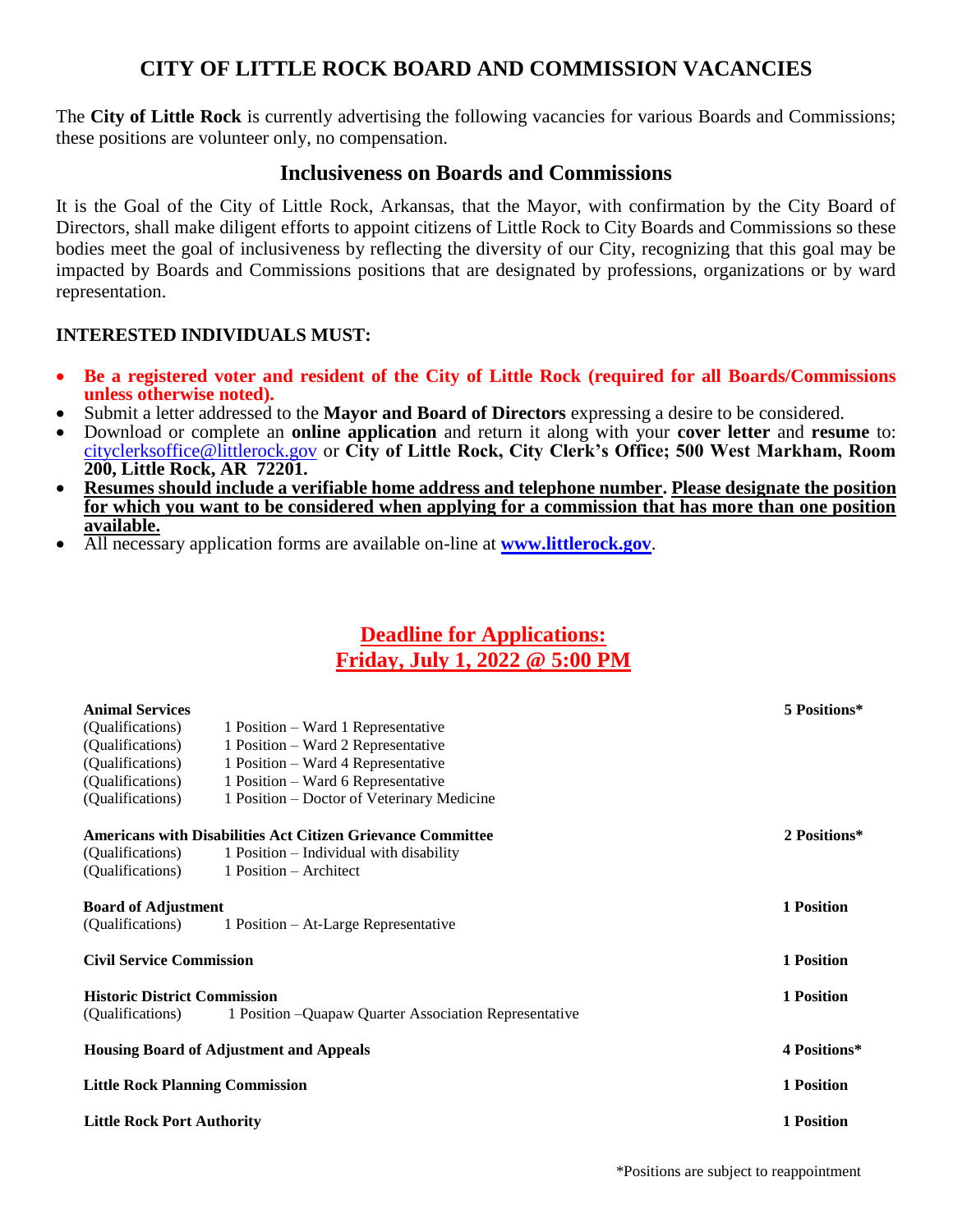## **CITY OF LITTLE ROCK BOARD AND COMMISSION VACANCIES**

The **City of Little Rock** is currently advertising the following vacancies for various Boards and Commissions; these positions are volunteer only, no compensation.

## **Inclusiveness on Boards and Commissions**

It is the Goal of the City of Little Rock, Arkansas, that the Mayor, with confirmation by the City Board of Directors, shall make diligent efforts to appoint citizens of Little Rock to City Boards and Commissions so these bodies meet the goal of inclusiveness by reflecting the diversity of our City, recognizing that this goal may be impacted by Boards and Commissions positions that are designated by professions, organizations or by ward representation.

## **INTERESTED INDIVIDUALS MUST:**

- **Be a registered voter and resident of the City of Little Rock (required for all Boards/Commissions unless otherwise noted).**
- Submit a letter addressed to the **Mayor and Board of Directors** expressing a desire to be considered.
- Download or complete an **online application** and return it along with your **cover letter** and **resume** to: [cityclerksoffice@littlerock.gov](mailto:cityclerksoffice@littlerock.gov) or **City of Little Rock, City Clerk's Office; 500 West Markham, Room 200, Little Rock, AR 72201.**
- **Resumes should include a verifiable home address and telephone number. Please designate the position for which you want to be considered when applying for a commission that has more than one position available.**
- All necessary application forms are available on-line at **[www.littlerock.gov](http://www.littlerock.gov/)**.

## **Deadline for Applications: Friday, July 1, 2022 @ 5:00 PM**

| <b>Animal Services</b>                         |                                                                    | 5 Positions* |
|------------------------------------------------|--------------------------------------------------------------------|--------------|
| (Qualifications)                               | 1 Position – Ward 1 Representative                                 |              |
| (Qualifications)                               | 1 Position – Ward 2 Representative                                 |              |
| (Qualifications)                               | 1 Position – Ward 4 Representative                                 |              |
| (Qualifications)                               | 1 Position – Ward 6 Representative                                 |              |
| (Qualifications)                               | 1 Position – Doctor of Veterinary Medicine                         |              |
|                                                | <b>Americans with Disabilities Act Citizen Grievance Committee</b> | 2 Positions* |
| (Qualifications)                               | 1 Position – Individual with disability                            |              |
| (Qualifications)                               | 1 Position – Architect                                             |              |
|                                                | <b>Board of Adjustment</b>                                         |              |
| (Qualifications)                               | 1 Position – At-Large Representative                               |              |
|                                                | <b>Civil Service Commission</b>                                    |              |
| <b>Historic District Commission</b>            |                                                                    | 1 Position   |
| (Qualifications)                               | 1 Position – Quapaw Quarter Association Representative             |              |
| <b>Housing Board of Adjustment and Appeals</b> |                                                                    | 4 Positions* |
|                                                | <b>Little Rock Planning Commission</b>                             |              |
|                                                | <b>Little Rock Port Authority</b>                                  |              |